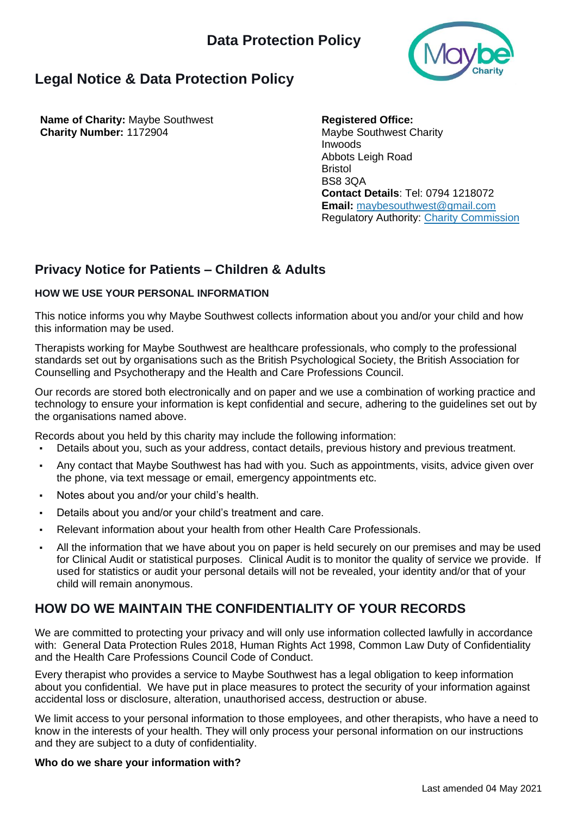

# **Legal Notice & Data Protection Policy**

**Name of Charity:** Maybe Southwest **Charity Number:** 1172904

**Registered Office:** Maybe Southwest Charity Inwoods Abbots Leigh Road Bristol BS8 3QA **Contact Details**: Tel: 0794 1218072 **Email:** maybesouthwest@gmail.com Regulatory Authority: Charity Commission

## **Privacy Notice for Patients – Children & Adults**

## **HOW WE USE YOUR PERSONAL INFORMATION**

This notice informs you why Maybe Southwest collects information about you and/or your child and how this information may be used.

Therapists working for Maybe Southwest are healthcare professionals, who comply to the professional standards set out by organisations such as the British Psychological Society, the British Association for Counselling and Psychotherapy and the Health and Care Professions Council.

Our records are stored both electronically and on paper and we use a combination of working practice and technology to ensure your information is kept confidential and secure, adhering to the guidelines set out by the organisations named above.

Records about you held by this charity may include the following information:

- Details about you, such as your address, contact details, previous history and previous treatment.
- Any contact that Maybe Southwest has had with you. Such as appointments, visits, advice given over the phone, via text message or email, emergency appointments etc.
- Notes about you and/or your child's health.
- Details about you and/or your child's treatment and care.
- Relevant information about your health from other Health Care Professionals.
- All the information that we have about you on paper is held securely on our premises and may be used for Clinical Audit or statistical purposes. Clinical Audit is to monitor the quality of service we provide. If used for statistics or audit your personal details will not be revealed, your identity and/or that of your child will remain anonymous.

## **HOW DO WE MAINTAIN THE CONFIDENTIALITY OF YOUR RECORDS**

We are committed to protecting your privacy and will only use information collected lawfully in accordance with: General Data Protection Rules 2018, Human Rights Act 1998, Common Law Duty of Confidentiality and the Health Care Professions Council Code of Conduct.

Every therapist who provides a service to Maybe Southwest has a legal obligation to keep information about you confidential. We have put in place measures to protect the security of your information against accidental loss or disclosure, alteration, unauthorised access, destruction or abuse.

We limit access to your personal information to those employees, and other therapists, who have a need to know in the interests of your health. They will only process your personal information on our instructions and they are subject to a duty of confidentiality.

## **Who do we share your information with?**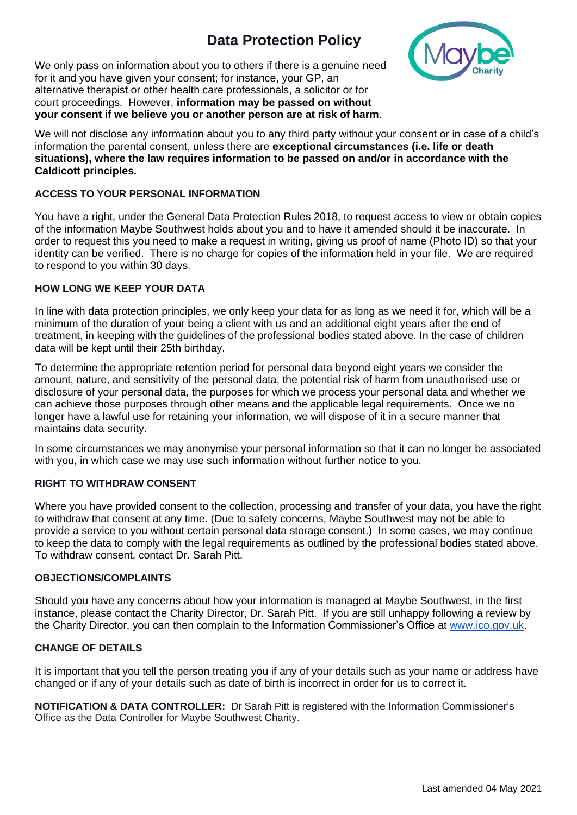# **Data Protection Policy**



We only pass on information about you to others if there is a genuine need for it and you have given your consent; for instance, your GP, an alternative therapist or other health care professionals, a solicitor or for court proceedings. However, **information may be passed on without your consent if we believe you or another person are at risk of harm**.

We will not disclose any information about you to any third party without your consent or in case of a child's information the parental consent, unless there are **exceptional circumstances (i.e. life or death situations), where the law requires information to be passed on and/or in accordance with the Caldicott principles.**

#### **ACCESS TO YOUR PERSONAL INFORMATION**

You have a right, under the General Data Protection Rules 2018, to request access to view or obtain copies of the information Maybe Southwest holds about you and to have it amended should it be inaccurate. In order to request this you need to make a request in writing, giving us proof of name (Photo ID) so that your identity can be verified. There is no charge for copies of the information held in your file. We are required to respond to you within 30 days.

#### **HOW LONG WE KEEP YOUR DATA**

In line with data protection principles, we only keep your data for as long as we need it for, which will be a minimum of the duration of your being a client with us and an additional eight years after the end of treatment, in keeping with the guidelines of the professional bodies stated above. In the case of children data will be kept until their 25th birthday.

To determine the appropriate retention period for personal data beyond eight years we consider the amount, nature, and sensitivity of the personal data, the potential risk of harm from unauthorised use or disclosure of your personal data, the purposes for which we process your personal data and whether we can achieve those purposes through other means and the applicable legal requirements. Once we no longer have a lawful use for retaining your information, we will dispose of it in a secure manner that maintains data security.

In some circumstances we may anonymise your personal information so that it can no longer be associated with you, in which case we may use such information without further notice to you.

#### **RIGHT TO WITHDRAW CONSENT**

Where you have provided consent to the collection, processing and transfer of your data, you have the right to withdraw that consent at any time. (Due to safety concerns, Maybe Southwest may not be able to provide a service to you without certain personal data storage consent.) In some cases, we may continue to keep the data to comply with the legal requirements as outlined by the professional bodies stated above. To withdraw consent, contact Dr. Sarah Pitt.

#### **OBJECTIONS/COMPLAINTS**

Should you have any concerns about how your information is managed at Maybe Southwest, in the first instance, please contact the Charity Director, Dr. Sarah Pitt. If you are still unhappy following a review by the Charity Director, you can then complain to the Information Commissioner's Office at [www.ico.gov.uk.](http://www.ico.gov.uk/)

#### **CHANGE OF DETAILS**

It is important that you tell the person treating you if any of your details such as your name or address have changed or if any of your details such as date of birth is incorrect in order for us to correct it.

**NOTIFICATION & DATA CONTROLLER:** Dr Sarah Pitt is registered with the Information Commissioner's Office as the Data Controller for Maybe Southwest Charity.